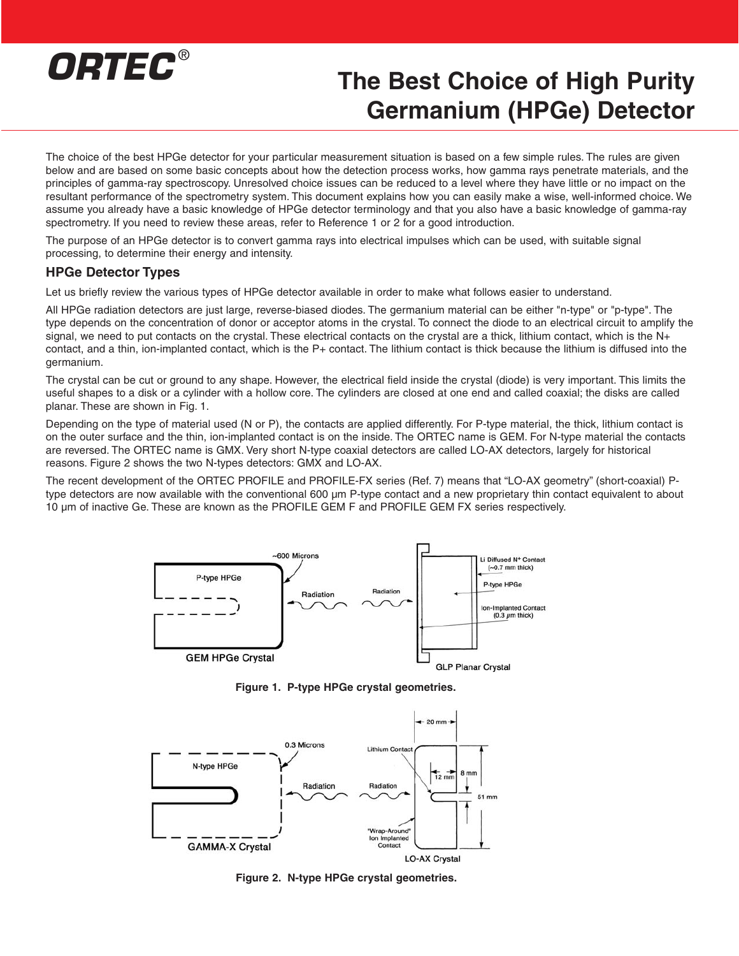# *ORTEC* ®

# **The Best Choice of High Purity Germanium (HPGe) Detector**

The choice of the best HPGe detector for your particular measurement situation is based on a few simple rules. The rules are given below and are based on some basic concepts about how the detection process works, how gamma rays penetrate materials, and the principles of gamma-ray spectroscopy. Unresolved choice issues can be reduced to a level where they have little or no impact on the resultant performance of the spectrometry system. This document explains how you can easily make a wise, well-informed choice. We assume you already have a basic knowledge of HPGe detector terminology and that you also have a basic knowledge of gamma-ray spectrometry. If you need to review these areas, refer to Reference 1 or 2 for a good introduction.

The purpose of an HPGe detector is to convert gamma rays into electrical impulses which can be used, with suitable signal processing, to determine their energy and intensity.

#### **HPGe Detector Types**

Let us briefly review the various types of HPGe detector available in order to make what follows easier to understand.

All HPGe radiation detectors are just large, reverse-biased diodes. The germanium material can be either "n-type" or "p-type". The type depends on the concentration of donor or acceptor atoms in the crystal. To connect the diode to an electrical circuit to amplify the signal, we need to put contacts on the crystal. These electrical contacts on the crystal are a thick, lithium contact, which is the N+ contact, and a thin, ion-implanted contact, which is the P+ contact. The lithium contact is thick because the lithium is diffused into the germanium.

The crystal can be cut or ground to any shape. However, the electrical field inside the crystal (diode) is very important. This limits the useful shapes to a disk or a cylinder with a hollow core. The cylinders are closed at one end and called coaxial; the disks are called planar. These are shown in Fig. 1.

Depending on the type of material used (N or P), the contacts are applied differently. For P-type material, the thick, lithium contact is on the outer surface and the thin, ion-implanted contact is on the inside. The ORTEC name is GEM. For N-type material the contacts are reversed. The ORTEC name is GMX. Very short N-type coaxial detectors are called LO-AX detectors, largely for historical reasons. Figure 2 shows the two N-types detectors: GMX and LO-AX.

The recent development of the ORTEC PROFILE and PROFILE-FX series (Ref. 7) means that "LO-AX geometry" (short-coaxial) Ptype detectors are now available with the conventional 600 µm P-type contact and a new proprietary thin contact equivalent to about 10 µm of inactive Ge. These are known as the PROFILE GEM F and PROFILE GEM FX series respectively.



**Figure 1. P-type HPGe crystal geometries.**



**Figure 2. N-type HPGe crystal geometries.**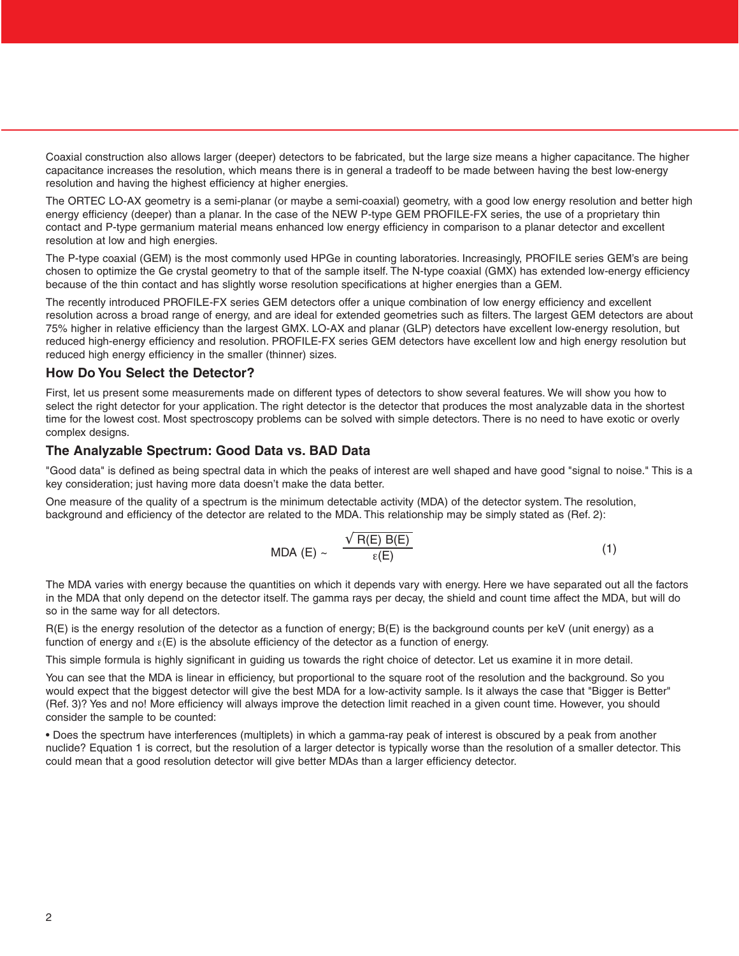Coaxial construction also allows larger (deeper) detectors to be fabricated, but the large size means a higher capacitance. The higher capacitance increases the resolution, which means there is in general a tradeoff to be made between having the best low-energy resolution and having the highest efficiency at higher energies.

The ORTEC LO-AX geometry is a semi-planar (or maybe a semi-coaxial) geometry, with a good low energy resolution and better high energy efficiency (deeper) than a planar. In the case of the NEW P-type GEM PROFILE-FX series, the use of a proprietary thin contact and P-type germanium material means enhanced low energy efficiency in comparison to a planar detector and excellent resolution at low and high energies.

The P-type coaxial (GEM) is the most commonly used HPGe in counting laboratories. Increasingly, PROFILE series GEM's are being chosen to optimize the Ge crystal geometry to that of the sample itself. The N-type coaxial (GMX) has extended low-energy efficiency because of the thin contact and has slightly worse resolution specifications at higher energies than a GEM.

The recently introduced PROFILE-FX series GEM detectors offer a unique combination of low energy efficiency and excellent resolution across a broad range of energy, and are ideal for extended geometries such as filters. The largest GEM detectors are about 75% higher in relative efficiency than the largest GMX. LO-AX and planar (GLP) detectors have excellent low-energy resolution, but reduced high-energy efficiency and resolution. PROFILE-FX series GEM detectors have excellent low and high energy resolution but reduced high energy efficiency in the smaller (thinner) sizes.

#### **How Do You Select the Detector?**

First, let us present some measurements made on different types of detectors to show several features. We will show you how to select the right detector for your application. The right detector is the detector that produces the most analyzable data in the shortest time for the lowest cost. Most spectroscopy problems can be solved with simple detectors. There is no need to have exotic or overly complex designs.

#### **The Analyzable Spectrum: Good Data vs. BAD Data**

"Good data" is defined as being spectral data in which the peaks of interest are well shaped and have good "signal to noise." This is a key consideration; just having more data doesn't make the data better.

One measure of the quality of a spectrum is the minimum detectable activity (MDA) of the detector system. The resolution, background and efficiency of the detector are related to the MDA. This relationship may be simply stated as (Ref. 2):

MDA (E) ~ 
$$
\frac{\sqrt{R(E) B(E)}}{\varepsilon(E)}
$$
 (1)

The MDA varies with energy because the quantities on which it depends vary with energy. Here we have separated out all the factors in the MDA that only depend on the detector itself. The gamma rays per decay, the shield and count time affect the MDA, but will do so in the same way for all detectors.

R(E) is the energy resolution of the detector as a function of energy; B(E) is the background counts per keV (unit energy) as a function of energy and  $\epsilon(E)$  is the absolute efficiency of the detector as a function of energy.

This simple formula is highly significant in guiding us towards the right choice of detector. Let us examine it in more detail.

You can see that the MDA is linear in efficiency, but proportional to the square root of the resolution and the background. So you would expect that the biggest detector will give the best MDA for a low-activity sample. Is it always the case that "Bigger is Better" (Ref. 3)? Yes and no! More efficiency will always improve the detection limit reached in a given count time. However, you should consider the sample to be counted:

• Does the spectrum have interferences (multiplets) in which a gamma-ray peak of interest is obscured by a peak from another nuclide? Equation 1 is correct, but the resolution of a larger detector is typically worse than the resolution of a smaller detector. This could mean that a good resolution detector will give better MDAs than a larger efficiency detector.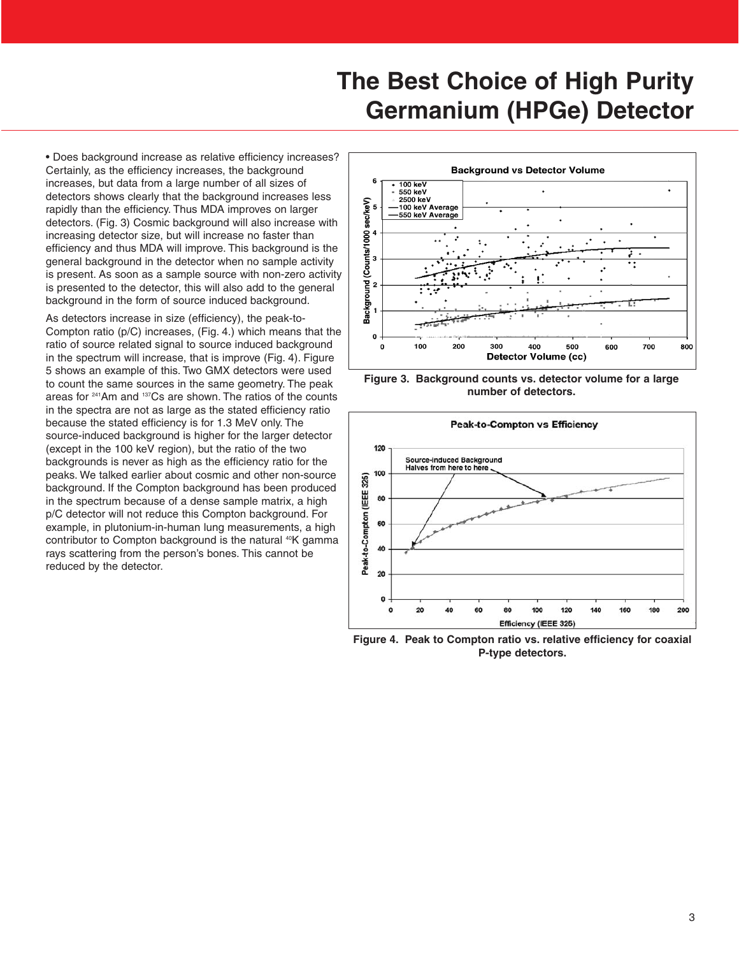• Does background increase as relative efficiency increases? Certainly, as the efficiency increases, the background increases, but data from a large number of all sizes of detectors shows clearly that the background increases less rapidly than the efficiency. Thus MDA improves on larger detectors. (Fig. 3) Cosmic background will also increase with increasing detector size, but will increase no faster than efficiency and thus MDA will improve. This background is the general background in the detector when no sample activity is present. As soon as a sample source with non-zero activity is presented to the detector, this will also add to the general background in the form of source induced background.

As detectors increase in size (efficiency), the peak-to-Compton ratio (p/C) increases, (Fig. 4.) which means that the ratio of source related signal to source induced background in the spectrum will increase, that is improve (Fig. 4). Figure 5 shows an example of this. Two GMX detectors were used to count the same sources in the same geometry. The peak areas for 241Am and 137Cs are shown. The ratios of the counts in the spectra are not as large as the stated efficiency ratio because the stated efficiency is for 1.3 MeV only. The source-induced background is higher for the larger detector (except in the 100 keV region), but the ratio of the two backgrounds is never as high as the efficiency ratio for the peaks. We talked earlier about cosmic and other non-source background. If the Compton background has been produced in the spectrum because of a dense sample matrix, a high p/C detector will not reduce this Compton background. For example, in plutonium-in-human lung measurements, a high contributor to Compton background is the natural <sup>40</sup>K gamma rays scattering from the person's bones. This cannot be reduced by the detector.







**Figure 4. Peak to Compton ratio vs. relative efficiency for coaxial P-type detectors.**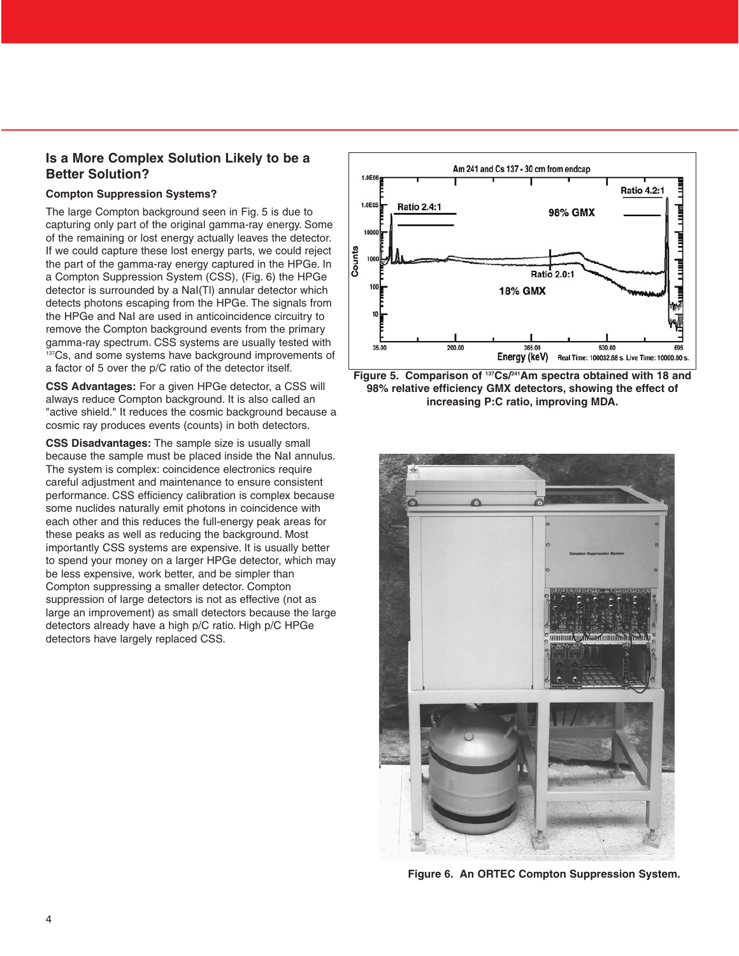#### **Is a More Complex Solution Likely to be a Better Solution?**

#### **Compton Suppression Systems?**

The large Compton background seen in Fig. 5 is due to capturing only part of the original gamma-ray energy. Some of the remaining or lost energy actually leaves the detector. If we could capture these lost energy parts, we could reject the part of the gamma-ray energy captured in the HPGe. In a Compton Suppression System (CSS), (Fig. 6) the HPGe detector is surrounded by a NaI(Tl) annular detector which detects photons escaping from the HPGe. The signals from the HPGe and NaI are used in anticoincidence circuitry to remove the Compton background events from the primary gamma-ray spectrum. CSS systems are usually tested with <sup>137</sup>Cs, and some systems have background improvements of a factor of 5 over the p/C ratio of the detector itself.

**CSS Advantages:** For a given HPGe detector, a CSS will always reduce Compton background. It is also called an "active shield." It reduces the cosmic background because a cosmic ray produces events (counts) in both detectors.

**CSS Disadvantages:** The sample size is usually small because the sample must be placed inside the NaI annulus. The system is complex: coincidence electronics require careful adjustment and maintenance to ensure consistent performance. CSS efficiency calibration is complex because some nuclides naturally emit photons in coincidence with each other and this reduces the full-energy peak areas for these peaks as well as reducing the background. Most importantly CSS systems are expensive. It is usually better to spend your money on a larger HPGe detector, which may be less expensive, work better, and be simpler than Compton suppressing a smaller detector. Compton suppression of large detectors is not as effective (not as large an improvement) as small detectors because the large detectors already have a high p/C ratio. High p/C HPGe detectors have largely replaced CSS.







**Figure 6. An ORTEC Compton Suppression System.**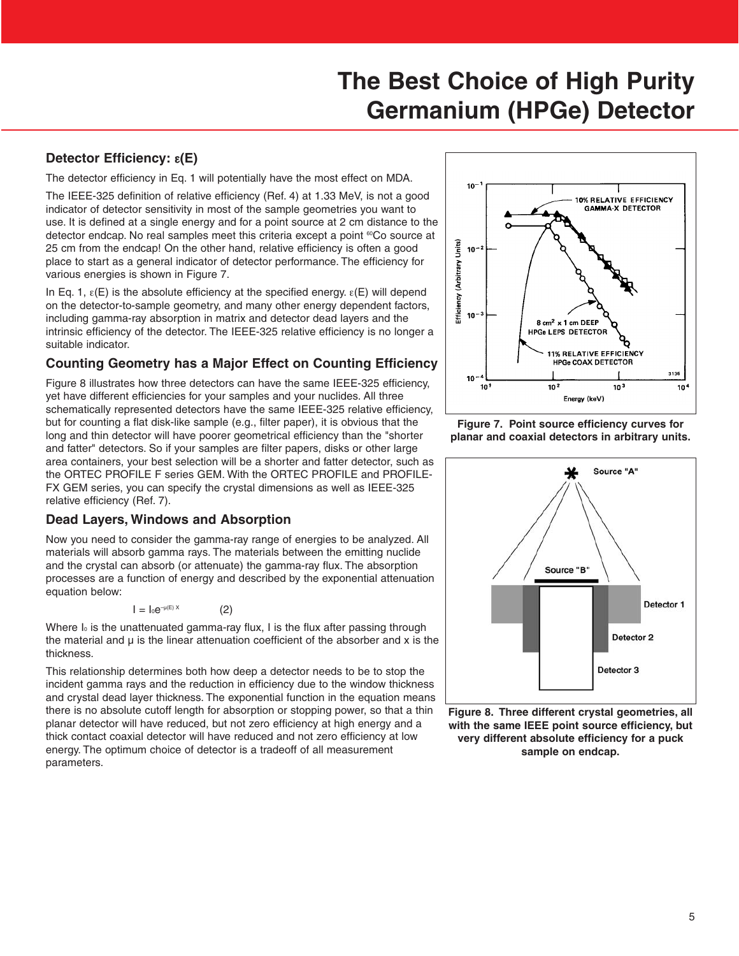### **Detector Efficiency:** ε**(E)**

The detector efficiency in Eq. 1 will potentially have the most effect on MDA.

The IEEE-325 definition of relative efficiency (Ref. 4) at 1.33 MeV, is not a good indicator of detector sensitivity in most of the sample geometries you want to use. It is defined at a single energy and for a point source at 2 cm distance to the detector endcap. No real samples meet this criteria except a point <sup>60</sup>Co source at 25 cm from the endcap! On the other hand, relative efficiency is often a good place to start as a general indicator of detector performance. The efficiency for various energies is shown in Figure 7.

In Eq. 1,  $\varepsilon$ (E) is the absolute efficiency at the specified energy.  $\varepsilon$ (E) will depend on the detector-to-sample geometry, and many other energy dependent factors, including gamma-ray absorption in matrix and detector dead layers and the intrinsic efficiency of the detector. The IEEE-325 relative efficiency is no longer a suitable indicator.

#### **Counting Geometry has a Major Effect on Counting Efficiency**

Figure 8 illustrates how three detectors can have the same IEEE-325 efficiency, yet have different efficiencies for your samples and your nuclides. All three schematically represented detectors have the same IEEE-325 relative efficiency, but for counting a flat disk-like sample (e.g., filter paper), it is obvious that the long and thin detector will have poorer geometrical efficiency than the "shorter and fatter" detectors. So if your samples are filter papers, disks or other large area containers, your best selection will be a shorter and fatter detector, such as the ORTEC PROFILE F series GEM. With the ORTEC PROFILE and PROFILE-FX GEM series, you can specify the crystal dimensions as well as IEEE-325 relative efficiency (Ref. 7).

#### **Dead Layers, Windows and Absorption**

Now you need to consider the gamma-ray range of energies to be analyzed. All materials will absorb gamma rays. The materials between the emitting nuclide and the crystal can absorb (or attenuate) the gamma-ray flux. The absorption processes are a function of energy and described by the exponential attenuation equation below:

 $I = I_0e^{-\mu(E)X}$  (2)

Where  $I_0$  is the unattenuated gamma-ray flux, I is the flux after passing through the material and  $\mu$  is the linear attenuation coefficient of the absorber and  $x$  is the thickness.

This relationship determines both how deep a detector needs to be to stop the incident gamma rays and the reduction in efficiency due to the window thickness and crystal dead layer thickness. The exponential function in the equation means there is no absolute cutoff length for absorption or stopping power, so that a thin planar detector will have reduced, but not zero efficiency at high energy and a thick contact coaxial detector will have reduced and not zero efficiency at low energy. The optimum choice of detector is a tradeoff of all measurement parameters.



**Figure 7. Point source efficiency curves for planar and coaxial detectors in arbitrary units.**



**Figure 8. Three different crystal geometries, all with the same IEEE point source efficiency, but very different absolute efficiency for a puck sample on endcap.**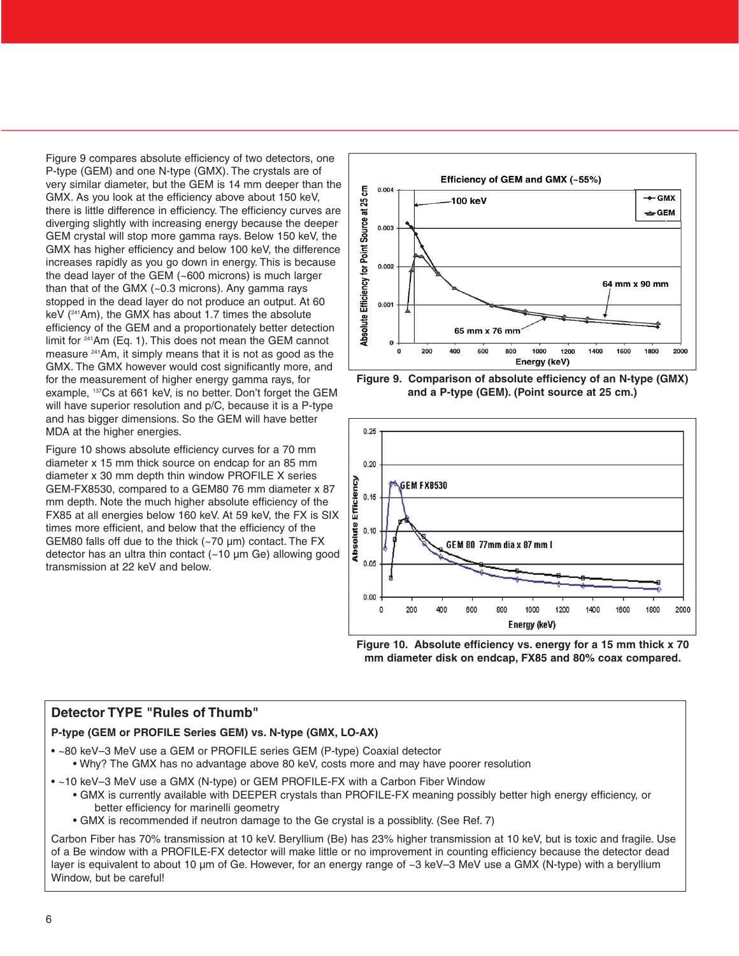Figure 9 compares absolute efficiency of two detectors, one P-type (GEM) and one N-type (GMX). The crystals are of very similar diameter, but the GEM is 14 mm deeper than the GMX. As you look at the efficiency above about 150 keV, there is little difference in efficiency. The efficiency curves are diverging slightly with increasing energy because the deeper GEM crystal will stop more gamma rays. Below 150 keV, the GMX has higher efficiency and below 100 keV, the difference increases rapidly as you go down in energy. This is because the dead layer of the GEM (~600 microns) is much larger than that of the GMX  $(-0.3 \text{ microns})$ . Any gamma rays stopped in the dead layer do not produce an output. At 60 keV (241Am), the GMX has about 1.7 times the absolute efficiency of the GEM and a proportionately better detection limit for 241Am (Eq. 1). This does not mean the GEM cannot measure 241Am, it simply means that it is not as good as the GMX. The GMX however would cost significantly more, and for the measurement of higher energy gamma rays, for example, 137Cs at 661 keV, is no better. Don't forget the GEM will have superior resolution and p/C, because it is a P-type and has bigger dimensions. So the GEM will have better MDA at the higher energies.

Figure 10 shows absolute efficiency curves for a 70 mm diameter x 15 mm thick source on endcap for an 85 mm diameter x 30 mm depth thin window PROFILE X series GEM-FX8530, compared to a GEM80 76 mm diameter x 87 mm depth. Note the much higher absolute efficiency of the FX85 at all energies below 160 keV. At 59 keV, the FX is SIX times more efficient, and below that the efficiency of the GEM80 falls off due to the thick (~70 µm) contact. The FX detector has an ultra thin contact (~10 µm Ge) allowing good transmission at 22 keV and below.









#### **Detector TYPE "Rules of Thumb"**

#### **P-type (GEM or PROFILE Series GEM) vs. N-type (GMX, LO-AX)**

- ~80 keV–3 MeV use a GEM or PROFILE series GEM (P-type) Coaxial detector
- Why? The GMX has no advantage above 80 keV, costs more and may have poorer resolution
- ~10 keV–3 MeV use a GMX (N-type) or GEM PROFILE-FX with a Carbon Fiber Window • GMX is currently available with DEEPER crystals than PROFILE-FX meaning possibly better high energy efficiency, or better efficiency for marinelli geometry
	- GMX is recommended if neutron damage to the Ge crystal is a possiblity. (See Ref. 7)

Carbon Fiber has 70% transmission at 10 keV. Beryllium (Be) has 23% higher transmission at 10 keV, but is toxic and fragile. Use of a Be window with a PROFILE-FX detector will make little or no improvement in counting efficiency because the detector dead layer is equivalent to about 10 µm of Ge. However, for an energy range of ~3 keV–3 MeV use a GMX (N-type) with a beryllium Window, but be careful!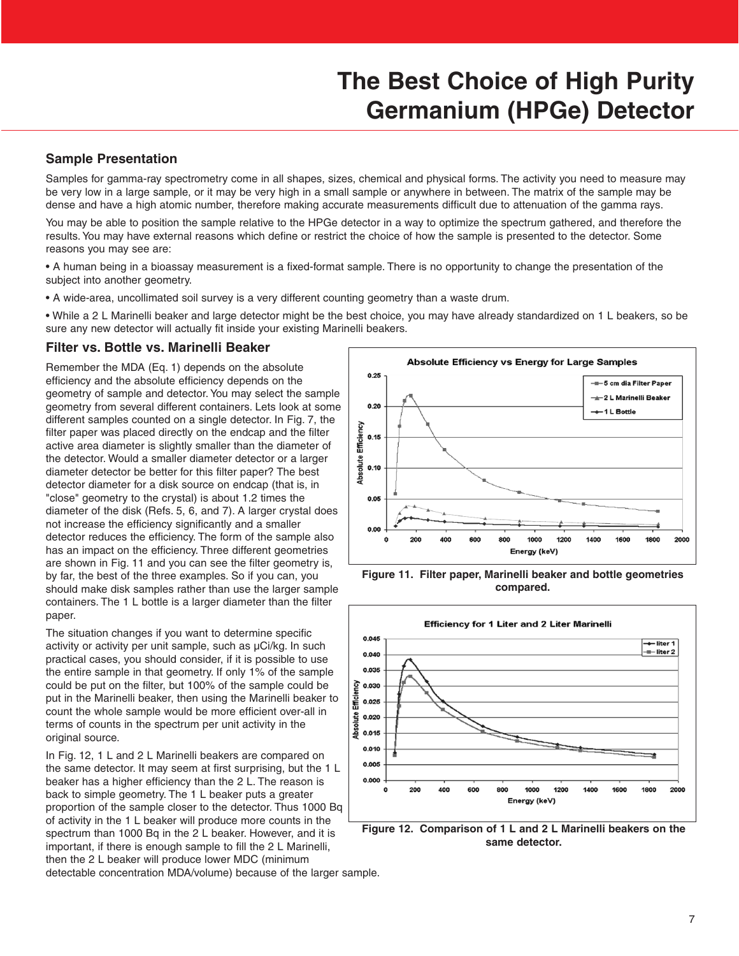#### **Sample Presentation**

Samples for gamma-ray spectrometry come in all shapes, sizes, chemical and physical forms. The activity you need to measure may be very low in a large sample, or it may be very high in a small sample or anywhere in between. The matrix of the sample may be dense and have a high atomic number, therefore making accurate measurements difficult due to attenuation of the gamma rays.

You may be able to position the sample relative to the HPGe detector in a way to optimize the spectrum gathered, and therefore the results. You may have external reasons which define or restrict the choice of how the sample is presented to the detector. Some reasons you may see are:

- A human being in a bioassay measurement is a fixed-format sample. There is no opportunity to change the presentation of the subject into another geometry.
- A wide-area, uncollimated soil survey is a very different counting geometry than a waste drum.

• While a 2 L Marinelli beaker and large detector might be the best choice, you may have already standardized on 1 L beakers, so be sure any new detector will actually fit inside your existing Marinelli beakers.

#### **Filter vs. Bottle vs. Marinelli Beaker**

Remember the MDA (Eq. 1) depends on the absolute efficiency and the absolute efficiency depends on the geometry of sample and detector. You may select the sample geometry from several different containers. Lets look at some different samples counted on a single detector. In Fig. 7, the filter paper was placed directly on the endcap and the filter active area diameter is slightly smaller than the diameter of the detector. Would a smaller diameter detector or a larger diameter detector be better for this filter paper? The best detector diameter for a disk source on endcap (that is, in "close" geometry to the crystal) is about 1.2 times the diameter of the disk (Refs. 5, 6, and 7). A larger crystal does not increase the efficiency significantly and a smaller detector reduces the efficiency. The form of the sample also has an impact on the efficiency. Three different geometries are shown in Fig. 11 and you can see the filter geometry is, by far, the best of the three examples. So if you can, you should make disk samples rather than use the larger sample containers. The 1 L bottle is a larger diameter than the filter paper.

The situation changes if you want to determine specific activity or activity per unit sample, such as µCi/kg. In such practical cases, you should consider, if it is possible to use the entire sample in that geometry. If only 1% of the sample could be put on the filter, but 100% of the sample could be put in the Marinelli beaker, then using the Marinelli beaker to count the whole sample would be more efficient over-all in terms of counts in the spectrum per unit activity in the original source.

In Fig. 12, 1 L and 2 L Marinelli beakers are compared on the same detector. It may seem at first surprising, but the 1 L beaker has a higher efficiency than the 2 L. The reason is back to simple geometry. The 1 L beaker puts a greater proportion of the sample closer to the detector. Thus 1000 Bq of activity in the 1 L beaker will produce more counts in the spectrum than 1000 Bq in the 2 L beaker. However, and it is important, if there is enough sample to fill the 2 L Marinelli, then the 2 L beaker will produce lower MDC (minimum detectable concentration MDA/volume) because of the larger sample.



**Figure 11. Filter paper, Marinelli beaker and bottle geometries compared.**



**Figure 12. Comparison of 1 L and 2 L Marinelli beakers on the same detector.**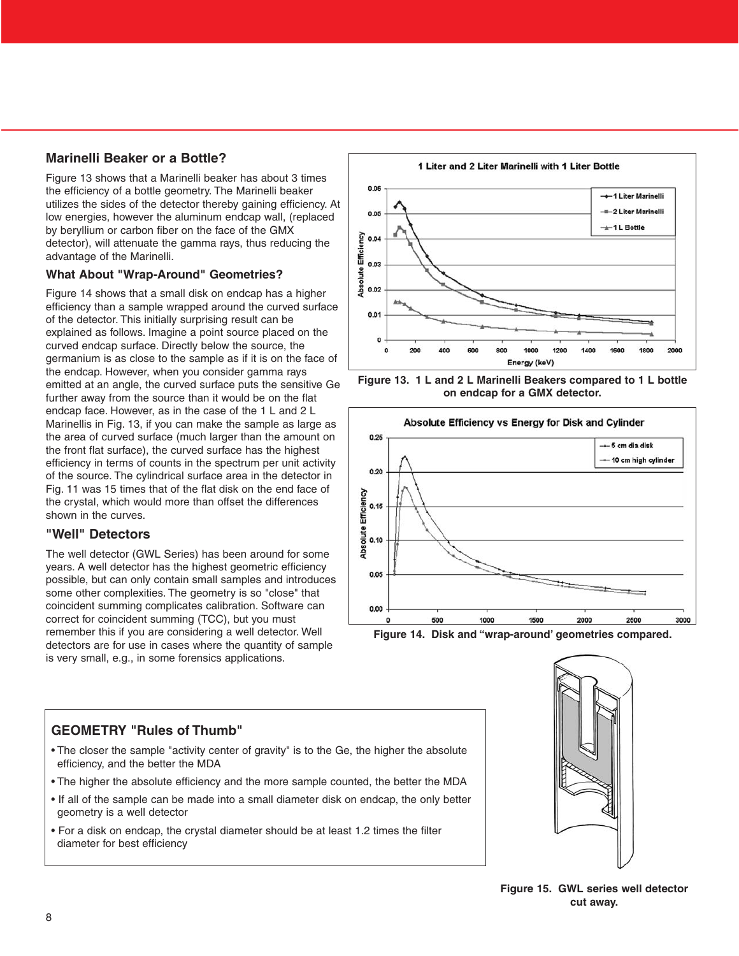### **Marinelli Beaker or a Bottle?**

Figure 13 shows that a Marinelli beaker has about 3 times the efficiency of a bottle geometry. The Marinelli beaker utilizes the sides of the detector thereby gaining efficiency. At low energies, however the aluminum endcap wall, (replaced by beryllium or carbon fiber on the face of the GMX detector), will attenuate the gamma rays, thus reducing the advantage of the Marinelli.

#### **What About "Wrap-Around" Geometries?**

Figure 14 shows that a small disk on endcap has a higher efficiency than a sample wrapped around the curved surface of the detector. This initially surprising result can be explained as follows. Imagine a point source placed on the curved endcap surface. Directly below the source, the germanium is as close to the sample as if it is on the face of the endcap. However, when you consider gamma rays emitted at an angle, the curved surface puts the sensitive Ge further away from the source than it would be on the flat endcap face. However, as in the case of the 1 L and 2 L Marinellis in Fig. 13, if you can make the sample as large as the area of curved surface (much larger than the amount on the front flat surface), the curved surface has the highest efficiency in terms of counts in the spectrum per unit activity of the source. The cylindrical surface area in the detector in Fig. 11 was 15 times that of the flat disk on the end face of the crystal, which would more than offset the differences shown in the curves

#### **"Well" Detectors**

The well detector (GWL Series) has been around for some years. A well detector has the highest geometric efficiency possible, but can only contain small samples and introduces some other complexities. The geometry is so "close" that coincident summing complicates calibration. Software can correct for coincident summing (TCC), but you must remember this if you are considering a well detector. Well detectors are for use in cases where the quantity of sample is very small, e.g., in some forensics applications.









### **GEOMETRY "Rules of Thumb"**

- The closer the sample "activity center of gravity" is to the Ge, the higher the absolute efficiency, and the better the MDA
- The higher the absolute efficiency and the more sample counted, the better the MDA
- If all of the sample can be made into a small diameter disk on endcap, the only better geometry is a well detector
- For a disk on endcap, the crystal diameter should be at least 1.2 times the filter diameter for best efficiency



**Figure 15. GWL series well detector cut away.**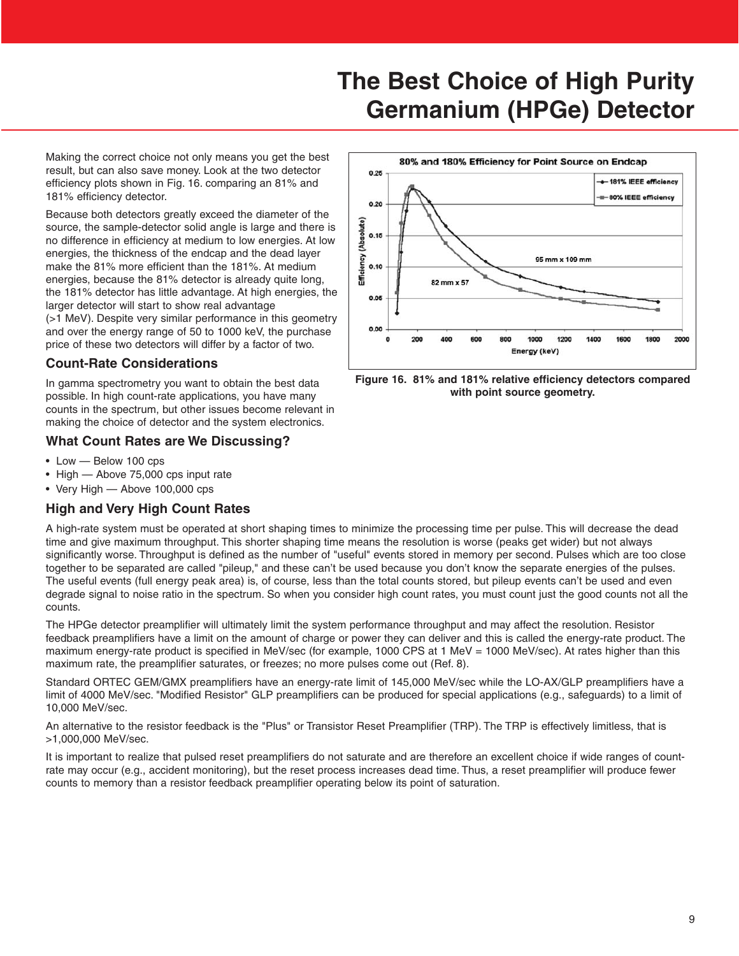Making the correct choice not only means you get the best result, but can also save money. Look at the two detector efficiency plots shown in Fig. 16. comparing an 81% and 181% efficiency detector.

Because both detectors greatly exceed the diameter of the source, the sample-detector solid angle is large and there is no difference in efficiency at medium to low energies. At low energies, the thickness of the endcap and the dead layer make the 81% more efficient than the 181%. At medium energies, because the 81% detector is already quite long, the 181% detector has little advantage. At high energies, the larger detector will start to show real advantage (>1 MeV). Despite very similar performance in this geometry and over the energy range of 50 to 1000 keV, the purchase price of these two detectors will differ by a factor of two.

#### **Count-Rate Considerations**

In gamma spectrometry you want to obtain the best data possible. In high count-rate applications, you have many counts in the spectrum, but other issues become relevant in making the choice of detector and the system electronics.

### **What Count Rates are We Discussing?**

- Low Below 100 cps
- High Above 75,000 cps input rate
- Very High Above 100,000 cps

#### **High and Very High Count Rates**

A high-rate system must be operated at short shaping times to minimize the processing time per pulse. This will decrease the dead time and give maximum throughput. This shorter shaping time means the resolution is worse (peaks get wider) but not always significantly worse. Throughput is defined as the number of "useful" events stored in memory per second. Pulses which are too close together to be separated are called "pileup," and these can't be used because you don't know the separate energies of the pulses. The useful events (full energy peak area) is, of course, less than the total counts stored, but pileup events can't be used and even degrade signal to noise ratio in the spectrum. So when you consider high count rates, you must count just the good counts not all the counts.

The HPGe detector preamplifier will ultimately limit the system performance throughput and may affect the resolution. Resistor feedback preamplifiers have a limit on the amount of charge or power they can deliver and this is called the energy-rate product. The maximum energy-rate product is specified in MeV/sec (for example, 1000 CPS at 1 MeV = 1000 MeV/sec). At rates higher than this maximum rate, the preamplifier saturates, or freezes; no more pulses come out (Ref. 8).

Standard ORTEC GEM/GMX preamplifiers have an energy-rate limit of 145,000 MeV/sec while the LO-AX/GLP preamplifiers have a limit of 4000 MeV/sec. "Modified Resistor" GLP preamplifiers can be produced for special applications (e.g., safeguards) to a limit of 10,000 MeV/sec.

An alternative to the resistor feedback is the "Plus" or Transistor Reset Preamplifier (TRP). The TRP is effectively limitless, that is >1,000,000 MeV/sec.

It is important to realize that pulsed reset preamplifiers do not saturate and are therefore an excellent choice if wide ranges of countrate may occur (e.g., accident monitoring), but the reset process increases dead time. Thus, a reset preamplifier will produce fewer counts to memory than a resistor feedback preamplifier operating below its point of saturation.



**Figure 16. 81% and 181% relative efficiency detectors compared with point source geometry.**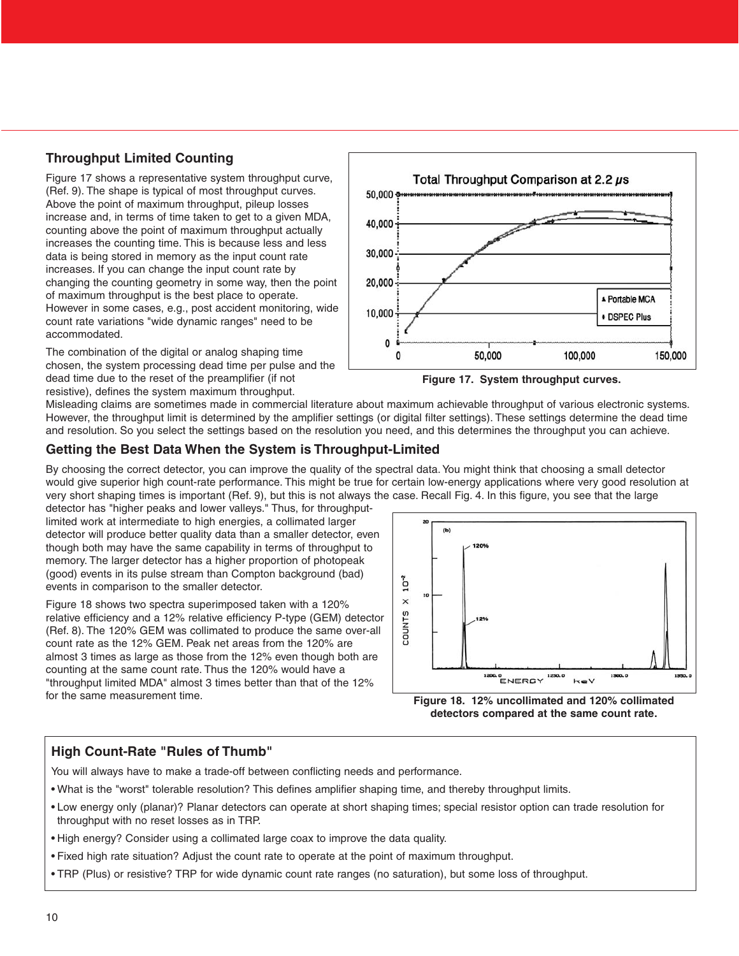### **Throughput Limited Counting**

Figure 17 shows a representative system throughput curve, (Ref. 9). The shape is typical of most throughput curves. Above the point of maximum throughput, pileup losses increase and, in terms of time taken to get to a given MDA, counting above the point of maximum throughput actually increases the counting time. This is because less and less data is being stored in memory as the input count rate increases. If you can change the input count rate by changing the counting geometry in some way, then the point of maximum throughput is the best place to operate. However in some cases, e.g., post accident monitoring, wide count rate variations "wide dynamic ranges" need to be accommodated.

The combination of the digital or analog shaping time chosen, the system processing dead time per pulse and the dead time due to the reset of the preamplifier (if not resistive), defines the system maximum throughput.





Misleading claims are sometimes made in commercial literature about maximum achievable throughput of various electronic systems. However, the throughput limit is determined by the amplifier settings (or digital filter settings). These settings determine the dead time and resolution. So you select the settings based on the resolution you need, and this determines the throughput you can achieve.

### **Getting the Best Data When the System is Throughput-Limited**

By choosing the correct detector, you can improve the quality of the spectral data. You might think that choosing a small detector would give superior high count-rate performance. This might be true for certain low-energy applications where very good resolution at very short shaping times is important (Ref. 9), but this is not always the case. Recall Fig. 4. In this figure, you see that the large

detector has "higher peaks and lower valleys." Thus, for throughputlimited work at intermediate to high energies, a collimated larger detector will produce better quality data than a smaller detector, even though both may have the same capability in terms of throughput to memory. The larger detector has a higher proportion of photopeak (good) events in its pulse stream than Compton background (bad) events in comparison to the smaller detector.

Figure 18 shows two spectra superimposed taken with a 120% relative efficiency and a 12% relative efficiency P-type (GEM) detector (Ref. 8). The 120% GEM was collimated to produce the same over-all count rate as the 12% GEM. Peak net areas from the 120% are almost 3 times as large as those from the 12% even though both are counting at the same count rate. Thus the 120% would have a "throughput limited MDA" almost 3 times better than that of the 12% for the same measurement time.



**Figure 18. 12% uncollimated and 120% collimated detectors compared at the same count rate.**

### **High Count-Rate "Rules of Thumb"**

You will always have to make a trade-off between conflicting needs and performance.

- What is the "worst" tolerable resolution? This defines amplifier shaping time, and thereby throughput limits.
- Low energy only (planar)? Planar detectors can operate at short shaping times; special resistor option can trade resolution for throughput with no reset losses as in TRP.
- High energy? Consider using a collimated large coax to improve the data quality.
- Fixed high rate situation? Adjust the count rate to operate at the point of maximum throughput.
- TRP (Plus) or resistive? TRP for wide dynamic count rate ranges (no saturation), but some loss of throughput.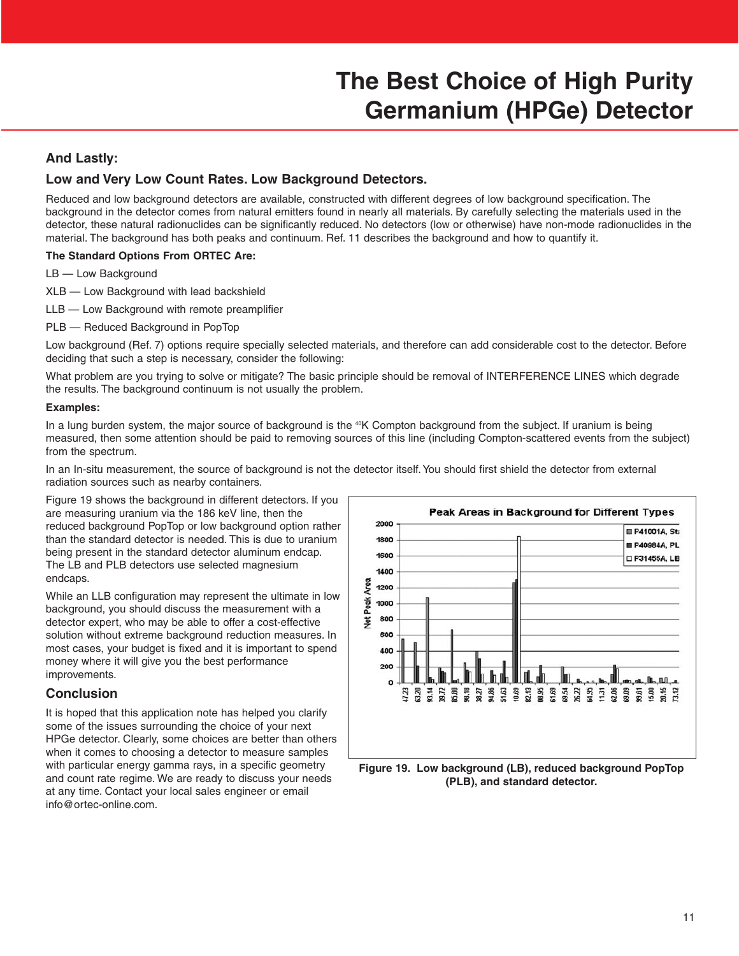#### **And Lastly:**

#### **Low and Very Low Count Rates. Low Background Detectors.**

Reduced and low background detectors are available, constructed with different degrees of low background specification. The background in the detector comes from natural emitters found in nearly all materials. By carefully selecting the materials used in the detector, these natural radionuclides can be significantly reduced. No detectors (low or otherwise) have non-mode radionuclides in the material. The background has both peaks and continuum. Ref. 11 describes the background and how to quantify it.

#### **The Standard Options From ORTEC Are:**

LB — Low Background

- XLB Low Background with lead backshield
- LLB Low Background with remote preamplifier
- PLB Reduced Background in PopTop

Low background (Ref. 7) options require specially selected materials, and therefore can add considerable cost to the detector. Before deciding that such a step is necessary, consider the following:

What problem are you trying to solve or mitigate? The basic principle should be removal of INTERFERENCE LINES which degrade the results. The background continuum is not usually the problem.

#### **Examples:**

In a lung burden system, the major source of background is the <sup>40</sup>K Compton background from the subject. If uranium is being measured, then some attention should be paid to removing sources of this line (including Compton-scattered events from the subject) from the spectrum.

In an In-situ measurement, the source of background is not the detector itself. You should first shield the detector from external radiation sources such as nearby containers.

Figure 19 shows the background in different detectors. If you are measuring uranium via the 186 keV line, then the reduced background PopTop or low background option rather than the standard detector is needed. This is due to uranium being present in the standard detector aluminum endcap. The LB and PLB detectors use selected magnesium endcaps.

While an LLB configuration may represent the ultimate in low background, you should discuss the measurement with a detector expert, who may be able to offer a cost-effective solution without extreme background reduction measures. In most cases, your budget is fixed and it is important to spend money where it will give you the best performance improvements.

#### **Conclusion**

It is hoped that this application note has helped you clarify some of the issues surrounding the choice of your next HPGe detector. Clearly, some choices are better than others when it comes to choosing a detector to measure samples with particular energy gamma rays, in a specific geometry and count rate regime. We are ready to discuss your needs at any time. Contact your local sales engineer or email info@ortec-online.com.



**Figure 19. Low background (LB), reduced background PopTop (PLB), and standard detector.**